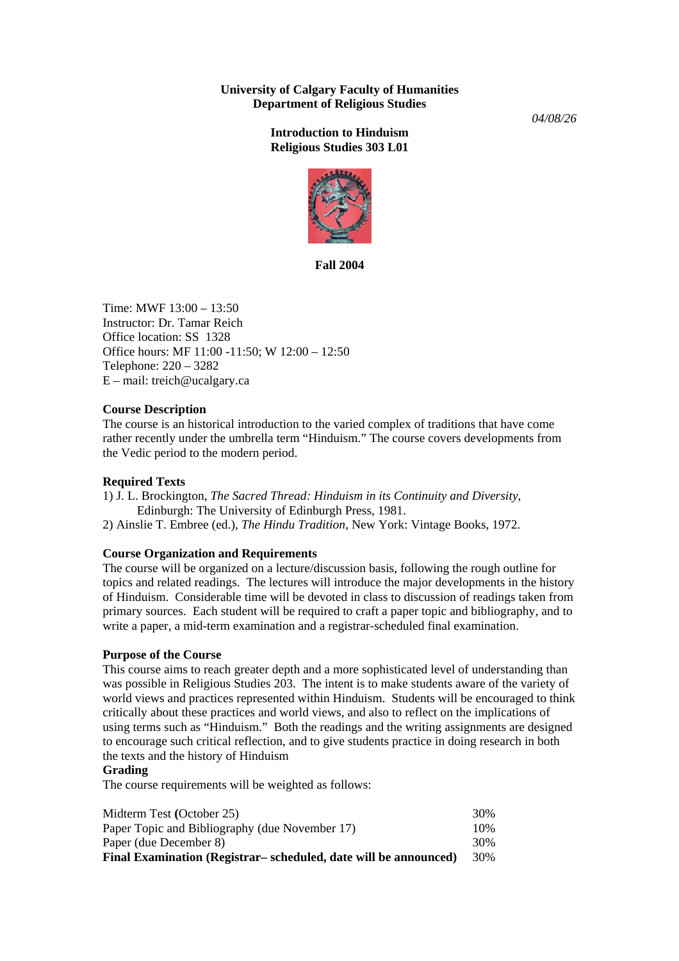# **University of Calgary Faculty of Humanities Department of Religious Studies**

*04/08/26* 

# **Introduction to Hinduism Religious Studies 303 L01**



**Fall 2004** 

Time:  $MWF 13:00 - 13:50$ Instructor: Dr. Tamar Reich Office location: SS 1328 Office hours: MF 11:00 -11:50; W 12:00 – 12:50 Telephone: 220 – 3282 E – mail: treich@ucalgary.ca

## **Course Description**

The course is an historical introduction to the varied complex of traditions that have come rather recently under the umbrella term "Hinduism." The course covers developments from the Vedic period to the modern period.

## **Required Texts**

1) J. L. Brockington, *The Sacred Thread: Hinduism in its Continuity and Diversity*, Edinburgh: The University of Edinburgh Press, 1981.

2) Ainslie T. Embree (ed.), *The Hindu Tradition*, New York: Vintage Books, 1972.

## **Course Organization and Requirements**

The course will be organized on a lecture/discussion basis, following the rough outline for topics and related readings. The lectures will introduce the major developments in the history of Hinduism. Considerable time will be devoted in class to discussion of readings taken from primary sources. Each student will be required to craft a paper topic and bibliography, and to write a paper, a mid-term examination and a registrar-scheduled final examination.

#### **Purpose of the Course**

This course aims to reach greater depth and a more sophisticated level of understanding than was possible in Religious Studies 203. The intent is to make students aware of the variety of world views and practices represented within Hinduism. Students will be encouraged to think critically about these practices and world views, and also to reflect on the implications of using terms such as "Hinduism." Both the readings and the writing assignments are designed to encourage such critical reflection, and to give students practice in doing research in both the texts and the history of Hinduism

#### **Grading**

The course requirements will be weighted as follows:

| Midterm Test (October 25)                                        | 30% |
|------------------------------------------------------------------|-----|
| Paper Topic and Bibliography (due November 17)                   | 10% |
| Paper (due December 8)                                           | 30% |
| Final Examination (Registrar– scheduled, date will be announced) | 30% |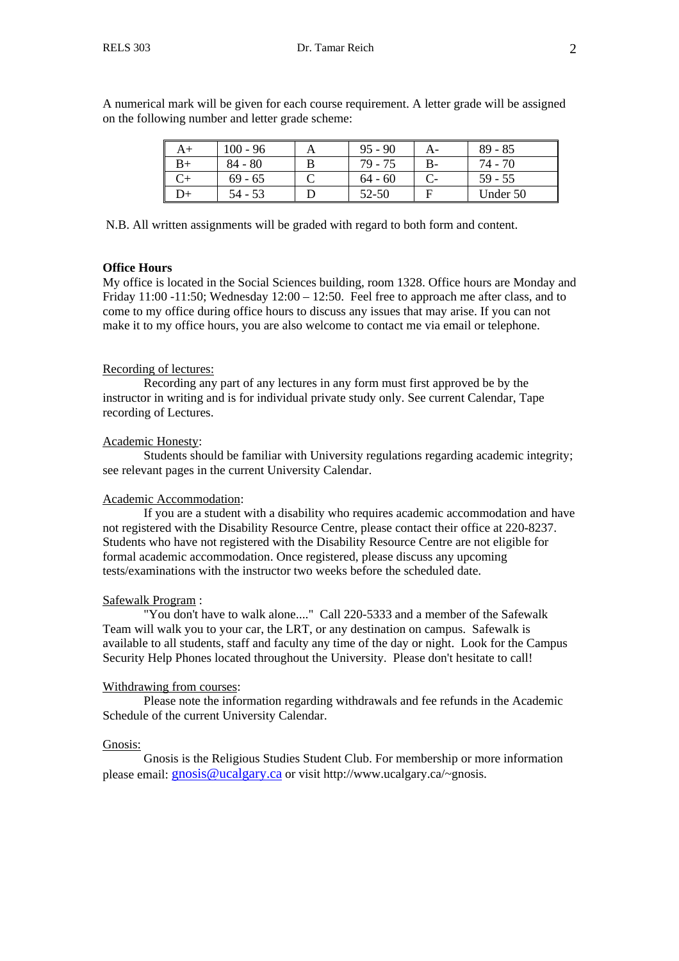| $\epsilon$ ronowing number and letter grade scheme. |  |            |  |           |  |         |  |
|-----------------------------------------------------|--|------------|--|-----------|--|---------|--|
|                                                     |  | $100 - 96$ |  | $95 - 90$ |  | 89 - 85 |  |
|                                                     |  | 84 - 80    |  | 79 - 75   |  | 74 - 70 |  |

 $C+$  69 - 65 C 64 - 60 C- 59 - 55  $D+$  | 54 - 53 | D | 52-50 | F | Under 50

A numerical mark will be given for each course requirement. A letter grade will be assigned on the following number and letter grade scheme:

N.B. All written assignments will be graded with regard to both form and content.

#### **Office Hours**

My office is located in the Social Sciences building, room 1328. Office hours are Monday and Friday  $11:00 - 11:50$ ; Wednesday  $12:00 - 12:50$ . Feel free to approach me after class, and to come to my office during office hours to discuss any issues that may arise. If you can not make it to my office hours, you are also welcome to contact me via email or telephone.

#### Recording of lectures:

 Recording any part of any lectures in any form must first approved be by the instructor in writing and is for individual private study only. See current Calendar, Tape recording of Lectures.

#### Academic Honesty:

 Students should be familiar with University regulations regarding academic integrity; see relevant pages in the current University Calendar.

#### Academic Accommodation:

 If you are a student with a disability who requires academic accommodation and have not registered with the Disability Resource Centre, please contact their office at 220-8237. Students who have not registered with the Disability Resource Centre are not eligible for formal academic accommodation. Once registered, please discuss any upcoming tests/examinations with the instructor two weeks before the scheduled date.

#### Safewalk Program :

 "You don't have to walk alone...." Call 220-5333 and a member of the Safewalk Team will walk you to your car, the LRT, or any destination on campus. Safewalk is available to all students, staff and faculty any time of the day or night. Look for the Campus Security Help Phones located throughout the University. Please don't hesitate to call!

## Withdrawing from courses:

 Please note the information regarding withdrawals and fee refunds in the Academic Schedule of the current University Calendar.

#### Gnosis:

 Gnosis is the Religious Studies Student Club. For membership or more information please email: [gnosis@ucalgary.ca](mailto:gnosis@ucalgary.ca) or visit http://www.ucalgary.ca/~gnosis.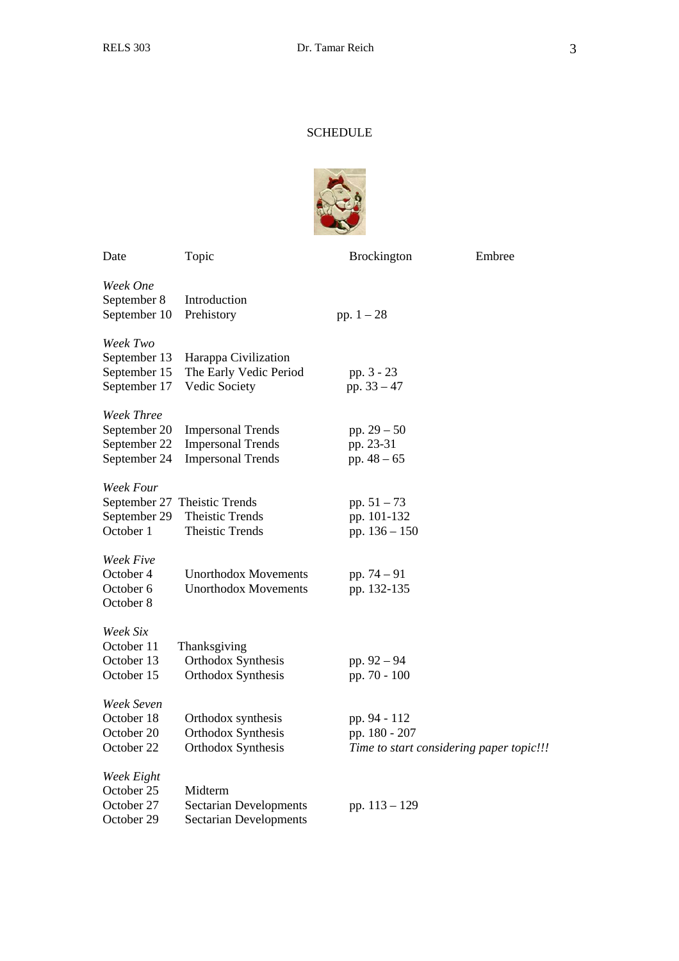# SCHEDULE



| Date                                                              | Topic                                                                            | <b>Brockington</b>                                                        | Embree |
|-------------------------------------------------------------------|----------------------------------------------------------------------------------|---------------------------------------------------------------------------|--------|
| Week One<br>September 8<br>September 10                           | Introduction<br>Prehistory                                                       | pp. $1 - 28$                                                              |        |
| Week Two<br>September 13<br>September 15<br>September 17          | Harappa Civilization<br>The Early Vedic Period<br>Vedic Society                  | pp. 3 - 23<br>pp. $33 - 47$                                               |        |
| <b>Week Three</b><br>September 20<br>September 22<br>September 24 | <b>Impersonal Trends</b><br><b>Impersonal Trends</b><br><b>Impersonal Trends</b> | pp. $29 - 50$<br>pp. 23-31<br>pp. $48 - 65$                               |        |
| Week Four<br>September 29<br>October 1                            | September 27 Theistic Trends<br><b>Theistic Trends</b><br><b>Theistic Trends</b> | pp. $51 - 73$<br>pp. 101-132<br>pp. 136 - 150                             |        |
| Week Five<br>October 4<br>October 6<br>October 8                  | <b>Unorthodox Movements</b><br><b>Unorthodox Movements</b>                       | pp. 74 - 91<br>pp. 132-135                                                |        |
| Week Six<br>October 11<br>October 13<br>October 15                | Thanksgiving<br>Orthodox Synthesis<br>Orthodox Synthesis                         | pp. $92 - 94$<br>pp. 70 - 100                                             |        |
| Week Seven<br>October 18<br>October 20<br>October 22              | Orthodox synthesis<br>Orthodox Synthesis<br>Orthodox Synthesis                   | pp. 94 - 112<br>pp. 180 - 207<br>Time to start considering paper topic!!! |        |
| Week Eight<br>October 25<br>October 27<br>October 29              | Midterm<br><b>Sectarian Developments</b><br><b>Sectarian Developments</b>        | pp. $113 - 129$                                                           |        |